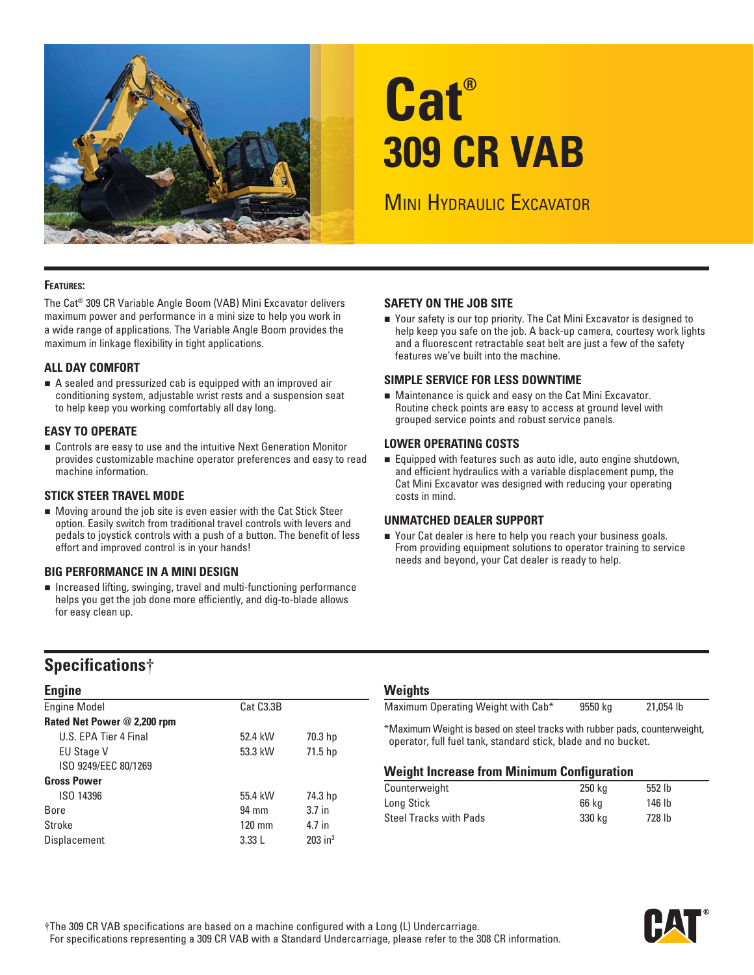

# **Cat® 309 CR VAB**

**MINI HYDRAULIC EXCAVATOR** 

### **FEATURES:**

The Cat® 309 CR Variable Angle Boom (VAB) Mini Excavator delivers maximum power and performance in a mini size to help you work in a wide range of applications. The Variable Angle Boom provides the maximum in linkage flexibility in tight applications.

### **ALL DAY COMFORT**

A sealed and pressurized cab is equipped with an improved air conditioning system, adjustable wrist rests and a suspension seat to help keep you working comfortably all day long.

### **EASY TO OPERATE**

 Controls are easy to use and the intuitive Next Generation Monitor provides customizable machine operator preferences and easy to read machine information.

### **STICK STEER TRAVEL MODE**

 Moving around the job site is even easier with the Cat Stick Steer option. Easily switch from traditional travel controls with levers and pedals to joystick controls with a push of a button. The benefit of less effort and improved control is in your hands!

### **BIG PERFORMANCE IN A MINI DESIGN**

■ Increased lifting, swinging, travel and multi-functioning performance helps you get the job done more efficiently, and dig-to-blade allows for easy clean up.

### **SAFETY ON THE JOB SITE**

■ Your safety is our top priority. The Cat Mini Excavator is designed to help keep you safe on the job. A back-up camera, courtesy work lights and a fluorescent retractable seat belt are just a few of the safety features we've built into the machine.

### **SIMPLE SERVICE FOR LESS DOWNTIME**

 Maintenance is quick and easy on the Cat Mini Excavator. Routine check points are easy to access at ground level with grouped service points and robust service panels.

### **LOWER OPERATING COSTS**

 Equipped with features such as auto idle, auto engine shutdown, and efficient hydraulics with a variable displacement pump, the Cat Mini Excavator was designed with reducing your operating costs in mind.

### **UNMATCHED DEALER SUPPORT**

■ Your Cat dealer is here to help you reach your business goals. From providing equipment solutions to operator training to service needs and beyond, your Cat dealer is ready to help.

# **Specifications**†

| <b>Engine</b>               |                        |                       |
|-----------------------------|------------------------|-----------------------|
| <b>Engine Model</b>         | Cat C <sub>3.3</sub> B |                       |
| Rated Net Power @ 2,200 rpm |                        |                       |
| U.S. EPA Tier 4 Final       | 52.4 kW                | 70.3 hp               |
| <b>EU Stage V</b>           | 53.3 kW                | 71.5 hp               |
| ISO 9249/EEC 80/1269        |                        |                       |
| <b>Gross Power</b>          |                        |                       |
| ISO 14396                   | 55.4 kW                | 74.3 hp               |
| Bore                        | 94 mm                  | 3.7 <sub>in</sub>     |
| Stroke                      | $120 \text{ mm}$       | 4.7 in                |
| Displacement                | 3.33L                  | $203$ in <sup>3</sup> |

# **Weights**

| Maximum Operating Weight with Cab*                                        | 9550 ka | 21.054 lb |
|---------------------------------------------------------------------------|---------|-----------|
| *Maximum Weight is based on steel tracks with rubber pads, counterweight, |         |           |
| operator, full fuel tank, standard stick, blade and no bucket.            |         |           |

### **Weight Increase from Minimum Configuration**

| Counterweight                 | 250 kg | 552 lb |
|-------------------------------|--------|--------|
| Long Stick                    | 66 ka  | 146 lb |
| <b>Steel Tracks with Pads</b> | 330 ka | 728 lb |

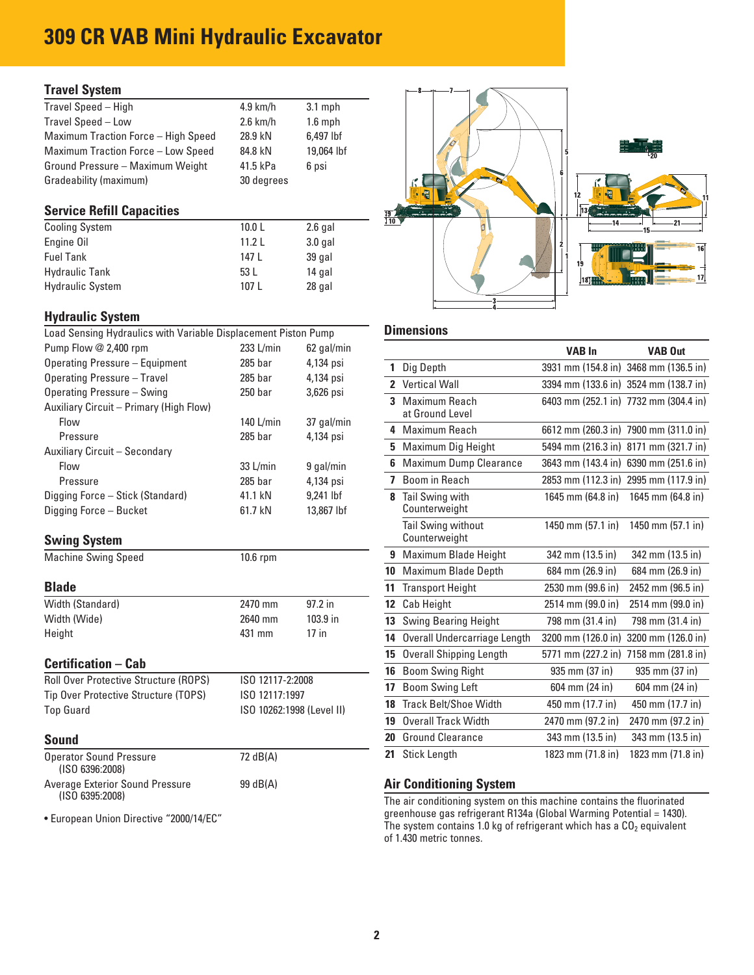# **309 CR VAB Mini Hydraulic Excavator**

### **Travel System**

| $4.9$ km/h | $3.1$ mph  |
|------------|------------|
| $2.6$ km/h | $1.6$ mph  |
| 28.9 kN    | 6.497 lbf  |
| 84.8 kN    | 19,064 lbf |
| 41.5 kPa   | 6 psi      |
| 30 degrees |            |
|            |            |

### **Service Refill Capacities**

| <b>Cooling System</b>   | 10.0 <sub>L</sub> | $2.6$ gal |
|-------------------------|-------------------|-----------|
| Engine Oil              | 11.21             | $3.0$ gal |
| <b>Fuel Tank</b>        | 147 L             | 39 gal    |
| <b>Hydraulic Tank</b>   | 53 L              | 14 gal    |
| <b>Hydraulic System</b> | 107 L             | 28 gal    |

### **Hydraulic System**

| Load Sensing Hydraulics with Variable Displacement Piston Pump        |                        |                           |   | <b>Dimensions</b>                         |                                  |                |
|-----------------------------------------------------------------------|------------------------|---------------------------|---|-------------------------------------------|----------------------------------|----------------|
| Pump Flow @ 2,400 rpm                                                 | $233$ L/min            | 62 gal/min                |   |                                           | <b>VAB In</b>                    | <b>VAB Out</b> |
| Operating Pressure - Equipment                                        | 285 bar                | 4,134 psi                 |   | Dig Depth                                 | 3931 mm (154.8 in) 3468 mm (136. |                |
| Operating Pressure - Travel                                           | $285$ bar              | 4,134 psi                 |   | 2 Vertical Wall                           | 3394 mm (133.6 in) 3524 mm (138. |                |
| Operating Pressure - Swing<br>Auxiliary Circuit - Primary (High Flow) | 250 <sub>bar</sub>     | 3,626 psi                 |   | <b>3</b> Maximum Reach<br>at Ground Level | 6403 mm (252.1 in) 7732 mm (304. |                |
| Flow<br>Pressure                                                      | 140 L/min<br>$285$ bar | 37 gal/min<br>4,134 psi   |   | 4 Maximum Reach                           | 6612 mm (260.3 in) 7900 mm (311. |                |
| Auxiliary Circuit - Secondary                                         |                        |                           |   | 5 Maximum Dig Height                      | 5494 mm (216.3 in) 8171 mm (321. |                |
| Flow                                                                  | $33$ L/min             | 9 gal/min                 | 6 | <b>Maximum Dump Clearance</b>             | 3643 mm (143.4 in) 6390 mm (251. |                |
| Pressure                                                              | $285$ bar              | 4,134 psi                 |   | Boom in Reach                             | 2853 mm (112.3 in) 2995 mm (117. |                |
| Digging Force - Stick (Standard)<br>Digging Force - Bucket            | 41.1 kN<br>61.7 kN     | $9.241$ lbf<br>13,867 lbf | 8 | Tail Swing with<br>Counterweight          | 1645 mm (64.8 in)                | 1645 mm (64.8  |

### **Swing System**

| Width (Standard) | 2470 mm | $97.2$ in |
|------------------|---------|-----------|
| Width (Wide)     | 2640 mm | 103.9 in  |
| Height           | 431 mm  | $17$ in   |

| <b>Roll Over Protective Structure (ROPS)</b> | ISO 12117-2:2008          |
|----------------------------------------------|---------------------------|
| Tip Over Protective Structure (TOPS)         | ISO 12117:1997            |
| Top Guard                                    | ISO 10262:1998 (Level II) |

| <b>Operator Sound Pressure</b>  | 72 dB(A) |
|---------------------------------|----------|
| (ISO 6396:2008)                 |          |
| Average Exterior Sound Pressure | 99 dB(A) |
| (ISO 6395:2008)                 |          |



### **Dimensions**

| Pump Flow @ 2,400 rpm                   | $233$ L/min               | 62 gal/min  |    |                                 | <b>VAB In</b>      | <b>VAB Out</b>                        |
|-----------------------------------------|---------------------------|-------------|----|---------------------------------|--------------------|---------------------------------------|
| <b>Operating Pressure - Equipment</b>   | $285$ bar                 | 4,134 psi   |    | 1 Dig Depth                     |                    | 3931 mm (154.8 in) 3468 mm (136.5 in) |
| <b>Operating Pressure - Travel</b>      | 285 bar                   | 4,134 psi   |    | 2 Vertical Wall                 |                    | 3394 mm (133.6 in) 3524 mm (138.7 in) |
| Operating Pressure - Swing              | 250 <sub>bar</sub>        | 3,626 psi   |    | 3 Maximum Reach                 |                    | 6403 mm (252.1 in) 7732 mm (304.4 in) |
| Auxiliary Circuit - Primary (High Flow) |                           |             |    | at Ground Level                 |                    |                                       |
| Flow                                    | 140 L/min                 | 37 gal/min  |    | 4 Maximum Reach                 |                    | 6612 mm (260.3 in) 7900 mm (311.0 in) |
| Pressure                                | $285$ bar                 | 4,134 psi   |    | 5 Maximum Dig Height            |                    | 5494 mm (216.3 in) 8171 mm (321.7 in) |
| Auxiliary Circuit - Secondary           |                           |             |    |                                 |                    |                                       |
| Flow                                    | 33 L/min                  | 9 gal/min   |    | 6 Maximum Dump Clearance        |                    | 3643 mm (143.4 in) 6390 mm (251.6 in) |
| Pressure                                | $285$ bar                 | 4,134 psi   |    | 7 Boom in Reach                 |                    | 2853 mm (112.3 in) 2995 mm (117.9 in) |
| Digging Force – Stick (Standard)        | 41.1 kN                   | $9,241$ lbf |    | 8 Tail Swing with               | 1645 mm (64.8 in)  | 1645 mm (64.8 in)                     |
| Digging Force – Bucket                  | 61.7 kN                   | 13,867 lbf  |    | Counterweight                   |                    |                                       |
|                                         |                           |             |    | Tail Swing without              | 1450 mm (57.1 in)  | 1450 mm (57.1 in)                     |
| <b>Swing System</b>                     |                           |             |    | Counterweight                   |                    |                                       |
| <b>Machine Swing Speed</b>              | 10.6 rpm                  |             |    | 9 Maximum Blade Height          | 342 mm (13.5 in)   | 342 mm (13.5 in)                      |
|                                         |                           |             |    | 10 Maximum Blade Depth          | 684 mm (26.9 in)   | 684 mm (26.9 in)                      |
| <b>Blade</b>                            |                           |             |    | 11 Transport Height             | 2530 mm (99.6 in)  | 2452 mm (96.5 in)                     |
| Width (Standard)                        | 2470 mm                   | 97.2 in     |    | 12 Cab Height                   | 2514 mm (99.0 in)  | 2514 mm (99.0 in)                     |
| Width (Wide)                            | 2640 mm                   | 103.9 in    |    | <b>13</b> Swing Bearing Height  | 798 mm (31.4 in)   | 798 mm (31.4 in)                      |
| Height                                  | 431 mm                    | $17$ in     |    | 14 Overall Undercarriage Length | 3200 mm (126.0 in) | 3200 mm (126.0 in)                    |
|                                         |                           |             | 15 | <b>Overall Shipping Length</b>  |                    | 5771 mm (227.2 in) 7158 mm (281.8 in) |
| <b>Certification – Cab</b>              |                           |             | 16 | <b>Boom Swing Right</b>         | 935 mm (37 in)     | 935 mm (37 in)                        |
| Roll Over Protective Structure (ROPS)   | ISO 12117-2:2008          |             | 17 | <b>Boom Swing Left</b>          | 604 mm (24 in)     | 604 mm (24 in)                        |
| Tip Over Protective Structure (TOPS)    | ISO 12117:1997            |             |    | 18 Track Belt/Shoe Width        | 450 mm (17.7 in)   | 450 mm (17.7 in)                      |
| <b>Top Guard</b>                        | ISO 10262:1998 (Level II) |             | 19 | Overall Track Width             | 2470 mm (97.2 in)  | 2470 mm (97.2 in)                     |
| <b>Sound</b>                            |                           |             | 20 | <b>Ground Clearance</b>         | 343 mm (13.5 in)   | 343 mm (13.5 in)                      |
|                                         |                           |             |    | 21 Stick Length                 | 1823 mm (71.8 in)  | 1823 mm (71.8 in)                     |
| <b>Operator Sound Pressure</b>          | 72 dB(A)                  |             |    |                                 |                    |                                       |

### **Air Conditioning System**

 (ISO 6395:2008) The air conditioning system on this machine contains the fluorinated ■ European Union Directive "2000/14/EC" <br>
■ greenhouse gas refrigerant R134a (Global Warming Potential = 1430).<br>
The system contains 1.0 kg of refrigerant which has a CO<sub>2</sub> equivalent of 1.430 metric tonnes.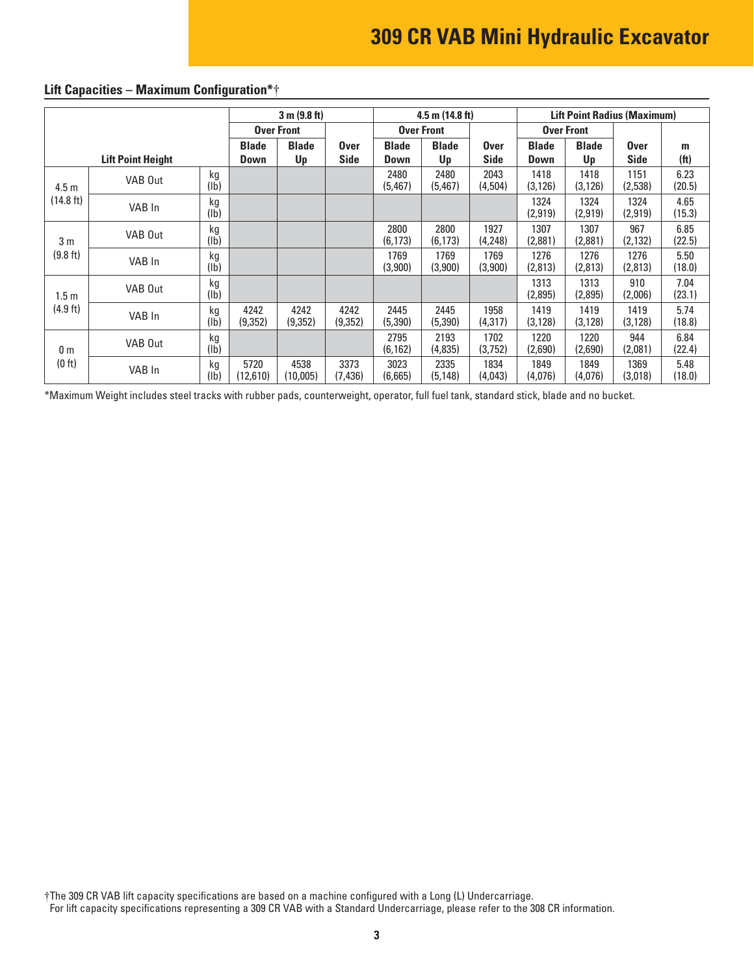|                  | 3 m (9.8 ft)<br>$4.5$ m $(14.8)$ ft) |            |                             |                    |                            | <b>Lift Point Radius (Maximum)</b> |                    |                     |                             |                    |                            |                        |
|------------------|--------------------------------------|------------|-----------------------------|--------------------|----------------------------|------------------------------------|--------------------|---------------------|-----------------------------|--------------------|----------------------------|------------------------|
|                  |                                      |            |                             | <b>Over Front</b>  |                            |                                    | <b>Over Front</b>  |                     | <b>Over Front</b>           |                    |                            |                        |
|                  | <b>Lift Point Height</b>             |            | <b>Blade</b><br><b>Down</b> | <b>Blade</b><br>Up | <b>Over</b><br><b>Side</b> | <b>Blade</b><br>Down               | <b>Blade</b><br>Up | <b>Over</b><br>Side | <b>Blade</b><br><b>Down</b> | <b>Blade</b><br>Up | <b>Over</b><br><b>Side</b> | m<br>(f <sup>t</sup> ) |
| 4.5 <sub>m</sub> | VAB Out                              | kg<br>(1b) |                             |                    |                            | 2480<br>(5, 467)                   | 2480<br>(5, 467)   | 2043<br>(4,504)     | 1418<br>(3, 126)            | 1418<br>(3, 126)   | 1151<br>(2,538)            | 6.23<br>(20.5)         |
| (14.8 ft)        | VAB In                               | kg<br>(1b) |                             |                    |                            |                                    |                    |                     | 1324<br>(2,919)             | 1324<br>(2, 919)   | 1324<br>(2,919)            | 4.65<br>(15.3)         |
| 3 <sub>m</sub>   | VAB Out                              | kg<br>(1b) |                             |                    |                            | 2800<br>(6, 173)                   | 2800<br>(6, 173)   | 1927<br>(4,248)     | 1307<br>(2,881)             | 1307<br>(2,881)    | 967<br>(2, 132)            | 6.85<br>(22.5)         |
| (9.8 ft)         | VAB In                               | kg<br>(1b) |                             |                    |                            | 1769<br>(3,900)                    | 1769<br>(3,900)    | 1769<br>(3,900)     | 1276<br>(2,813)             | 1276<br>(2,813)    | 1276<br>(2,813)            | 5.50<br>(18.0)         |
| 1.5m             | VAB Out                              | kg<br>(1b) |                             |                    |                            |                                    |                    |                     | 1313<br>(2,895)             | 1313<br>(2,895)    | 910<br>(2,006)             | 7.04<br>(23.1)         |
| $(4.9$ ft)       | VAB In                               | kg<br>(lb) | 4242<br>(9,352)             | 4242<br>(9,352)    | 4242<br>(9,352)            | 2445<br>(5,390)                    | 2445<br>(5, 390)   | 1958<br>(4, 317)    | 1419<br>(3, 128)            | 1419<br>(3, 128)   | 1419<br>(3, 128)           | 5.74<br>(18.8)         |
| 0 <sub>m</sub>   | VAB Out                              | kg<br>(1b) |                             |                    |                            | 2795<br>(6, 162)                   | 2193<br>(4,835)    | 1702<br>(3,752)     | 1220<br>(2,690)             | 1220<br>(2,690)    | 944<br>(2,081)             | 6.84<br>(22.4)         |
| (0 ft)           | VAB In                               | kg<br>(Ib) | 5720<br>(12,610)            | 4538<br>(10,005)   | 3373<br>(7, 436)           | 3023<br>(6,665)                    | 2335<br>(5, 148)   | 1834<br>(4,043)     | 1849<br>(4,076)             | 1849<br>(4,076)    | 1369<br>(3,018)            | 5.48<br>(18.0)         |

# **Lift Capacities – Maximum Configuration\***†

\*Maximum Weight includes steel tracks with rubber pads, counterweight, operator, full fuel tank, standard stick, blade and no bucket.

†The 309 CR VAB lift capacity specifications are based on a machine configured with a Long (L) Undercarriage. For lift capacity specifications representing a 309 CR VAB with a Standard Undercarriage, please refer to the 308 CR information.